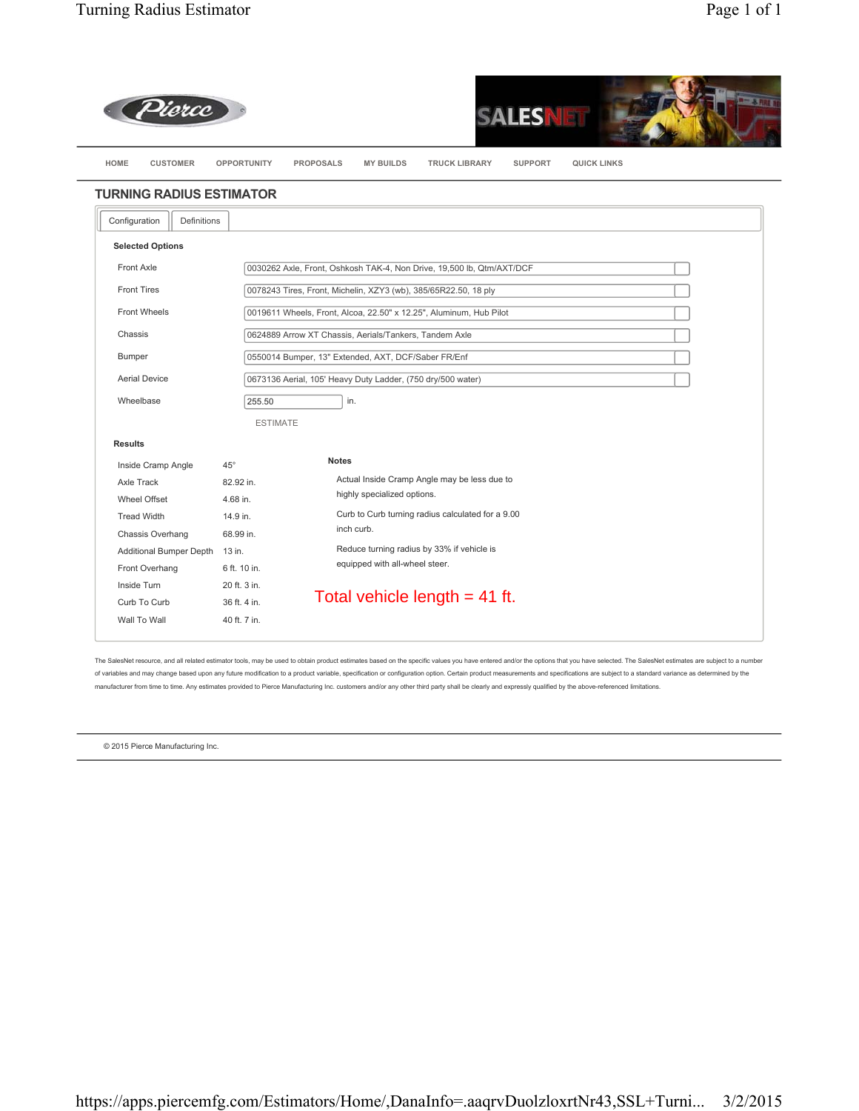



|                                | <b>TURNING RADIUS ESTIMATOR</b> |                                                                                                |
|--------------------------------|---------------------------------|------------------------------------------------------------------------------------------------|
| Definitions<br>Configuration   |                                 |                                                                                                |
| <b>Selected Options</b>        |                                 |                                                                                                |
| Front Axle                     |                                 | 0030262 Axle, Front, Oshkosh TAK-4, Non Drive, 19,500 lb, Qtm/AXT/DCF                          |
| <b>Front Tires</b>             |                                 | 0078243 Tires, Front, Michelin, XZY3 (wb), 385/65R22.50, 18 ply                                |
| <b>Front Wheels</b>            |                                 | 0019611 Wheels, Front, Alcoa, 22.50" x 12.25", Aluminum, Hub Pilot                             |
| Chassis                        |                                 | 0624889 Arrow XT Chassis, Aerials/Tankers, Tandem Axle                                         |
| Bumper                         |                                 | 0550014 Bumper, 13" Extended, AXT, DCF/Saber FR/Enf                                            |
| <b>Aerial Device</b>           |                                 | 0673136 Aerial, 105' Heavy Duty Ladder, (750 dry/500 water)                                    |
| Wheelbase                      | 255.50                          | in.                                                                                            |
|                                | <b>ESTIMATE</b>                 |                                                                                                |
| <b>Results</b>                 |                                 |                                                                                                |
| Inside Cramp Angle             | $45^{\circ}$                    | <b>Notes</b>                                                                                   |
| Axle Track                     | 82.92 in.                       | Actual Inside Cramp Angle may be less due to                                                   |
| Wheel Offset                   | 4.68 in.                        | highly specialized options.<br>Curb to Curb turning radius calculated for a 9.00<br>inch curb. |
| <b>Tread Width</b>             | 14.9 in.                        |                                                                                                |
| Chassis Overhang               | 68.99 in.                       |                                                                                                |
| Additional Bumper Depth 13 in. |                                 | Reduce turning radius by 33% if vehicle is<br>equipped with all-wheel steer.                   |
| Front Overhang                 | 6 ft. 10 in.                    |                                                                                                |
| Inside Turn                    | 20 ft. 3 in.                    | Total vehicle length $= 41$ ft.                                                                |
| Curb To Curb                   | 36 ft. 4 in.                    |                                                                                                |
| Wall To Wall                   | 40 ft. 7 in.                    |                                                                                                |

The SalesNet resource, and all related estimator tools, may be used to obtain product estimates based on the specific values you have entered and/or the options that you have selected. The SalesNet estimates are subject to of variables and may change based upon any future modification to a product variable, specification or configuration option. Certain product measurements and specifications are subject to a standard variance as determined manufacturer from time to time. Any estimates provided to Pierce Manufacturing Inc. customers and/or any other third party shall be clearly and expressly qualified by the above-referenced limitations.

© 2015 Pierce Manufacturing Inc.